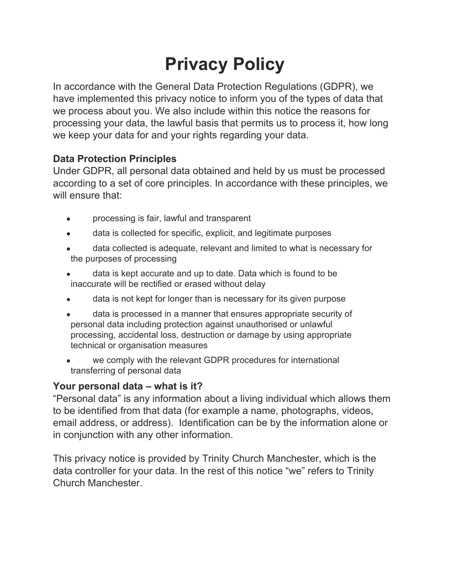# **Privacy Policy**

In accordance with the General Data Protection Regulations (GDPR), we have implemented this privacy notice to inform you of the types of data that we process about you. We also include within this notice the reasons for processing your data, the lawful basis that permits us to process it, how long we keep your data for and your rights regarding your data.

#### **Data Protection Principles**

Under GDPR, all personal data obtained and held by us must be processed according to a set of core principles. In accordance with these principles, we will ensure that:

- processing is fair, lawful and transparent
- data is collected for specific, explicit, and legitimate purposes
- data collected is adequate, relevant and limited to what is necessary for the purposes of processing
- data is kept accurate and up to date. Data which is found to be inaccurate will be rectified or erased without delay
- data is not kept for longer than is necessary for its given purpose
- data is processed in a manner that ensures appropriate security of personal data including protection against unauthorised or unlawful processing, accidental loss, destruction or damage by using appropriate technical or organisation measures
- we comply with the relevant GDPR procedures for international transferring of personal data

## **Your personal data – what is it?**

"Personal data" is any information about a living individual which allows them to be identified from that data (for example a name, photographs, videos, email address, or address). Identification can be by the information alone or in conjunction with any other information.

This privacy notice is provided by Trinity Church Manchester, which is the data controller for your data. In the rest of this notice "we" refers to Trinity Church Manchester.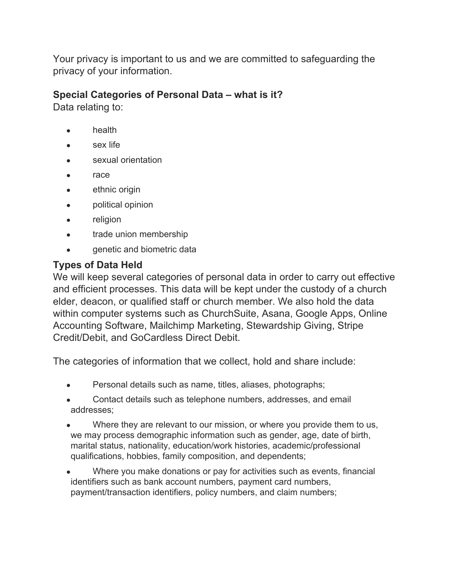Your privacy is important to us and we are committed to safeguarding the privacy of your information.

#### **Special Categories of Personal Data – what is it?**

Data relating to:

- health
- sex life
- sexual orientation
- race
- ethnic origin
- political opinion
- religion
- trade union membership
- genetic and biometric data

## **Types of Data Held**

We will keep several categories of personal data in order to carry out effective and efficient processes. This data will be kept under the custody of a church elder, deacon, or qualified staff or church member. We also hold the data within computer systems such as ChurchSuite, Asana, Google Apps, Online Accounting Software, Mailchimp Marketing, Stewardship Giving, Stripe Credit/Debit, and GoCardless Direct Debit.

The categories of information that we collect, hold and share include:

- Personal details such as name, titles, aliases, photographs;
- Contact details such as telephone numbers, addresses, and email addresses;
- Where they are relevant to our mission, or where you provide them to us, we may process demographic information such as gender, age, date of birth, marital status, nationality, education/work histories, academic/professional qualifications, hobbies, family composition, and dependents;
- Where you make donations or pay for activities such as events, financial identifiers such as bank account numbers, payment card numbers, payment/transaction identifiers, policy numbers, and claim numbers;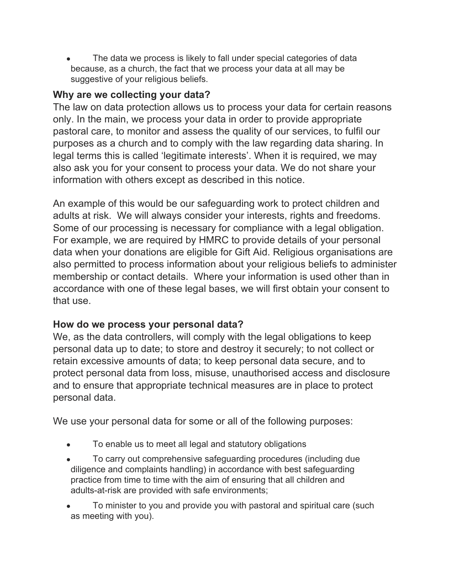The data we process is likely to fall under special categories of data because, as a church, the fact that we process your data at all may be suggestive of your religious beliefs.

## **Why are we collecting your data?**

The law on data protection allows us to process your data for certain reasons only. In the main, we process your data in order to provide appropriate pastoral care, to monitor and assess the quality of our services, to fulfil our purposes as a church and to comply with the law regarding data sharing. In legal terms this is called 'legitimate interests'. When it is required, we may also ask you for your consent to process your data. We do not share your information with others except as described in this notice.

An example of this would be our safeguarding work to protect children and adults at risk. We will always consider your interests, rights and freedoms. Some of our processing is necessary for compliance with a legal obligation. For example, we are required by HMRC to provide details of your personal data when your donations are eligible for Gift Aid. Religious organisations are also permitted to process information about your religious beliefs to administer membership or contact details. Where your information is used other than in accordance with one of these legal bases, we will first obtain your consent to that use.

## **How do we process your personal data?**

We, as the data controllers, will comply with the legal obligations to keep personal data up to date; to store and destroy it securely; to not collect or retain excessive amounts of data; to keep personal data secure, and to protect personal data from loss, misuse, unauthorised access and disclosure and to ensure that appropriate technical measures are in place to protect personal data.

We use your personal data for some or all of the following purposes:

- To enable us to meet all legal and statutory obligations
- To carry out comprehensive safeguarding procedures (including due diligence and complaints handling) in accordance with best safeguarding practice from time to time with the aim of ensuring that all children and adults-at-risk are provided with safe environments;
- To minister to you and provide you with pastoral and spiritual care (such as meeting with you).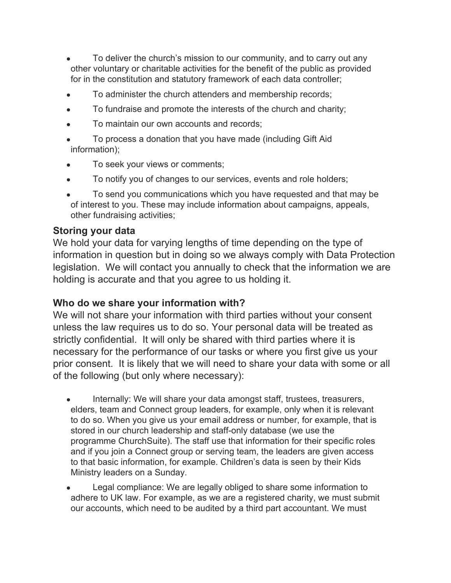- To deliver the church's mission to our community, and to carry out any other voluntary or charitable activities for the benefit of the public as provided for in the constitution and statutory framework of each data controller;
- To administer the church attenders and membership records;
- To fundraise and promote the interests of the church and charity;
- To maintain our own accounts and records:
- To process a donation that you have made (including Gift Aid information);
- To seek your views or comments;
- To notify you of changes to our services, events and role holders;
- To send you communications which you have requested and that may be of interest to you. These may include information about campaigns, appeals, other fundraising activities;

#### **Storing your data**

We hold your data for varying lengths of time depending on the type of information in question but in doing so we always comply with Data Protection legislation. We will contact you annually to check that the information we are holding is accurate and that you agree to us holding it.

#### **Who do we share your information with?**

We will not share your information with third parties without your consent unless the law requires us to do so. Your personal data will be treated as strictly confidential. It will only be shared with third parties where it is necessary for the performance of our tasks or where you first give us your prior consent. It is likely that we will need to share your data with some or all of the following (but only where necessary):

- Internally: We will share your data amongst staff, trustees, treasurers, elders, team and Connect group leaders, for example, only when it is relevant to do so. When you give us your email address or number, for example, that is stored in our church leadership and staff-only database (we use the programme ChurchSuite). The staff use that information for their specific roles and if you join a Connect group or serving team, the leaders are given access to that basic information, for example. Children's data is seen by their Kids Ministry leaders on a Sunday.
- Legal compliance: We are legally obliged to share some information to adhere to UK law. For example, as we are a registered charity, we must submit our accounts, which need to be audited by a third part accountant. We must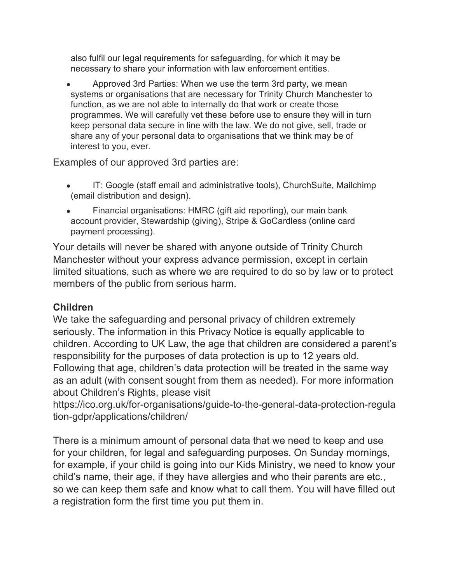also fulfil our legal requirements for safeguarding, for which it may be necessary to share your information with law enforcement entities.

Approved 3rd Parties: When we use the term 3rd party, we mean systems or organisations that are necessary for Trinity Church Manchester to function, as we are not able to internally do that work or create those programmes. We will carefully vet these before use to ensure they will in turn keep personal data secure in line with the law. We do not give, sell, trade or share any of your personal data to organisations that we think may be of interest to you, ever.

Examples of our approved 3rd parties are:

- IT: Google (staff email and administrative tools), ChurchSuite, Mailchimp (email distribution and design).
- Financial organisations: HMRC (gift aid reporting), our main bank account provider, Stewardship (giving), Stripe & GoCardless (online card payment processing).

Your details will never be shared with anyone outside of Trinity Church Manchester without your express advance permission, except in certain limited situations, such as where we are required to do so by law or to protect members of the public from serious harm.

## **Children**

We take the safeguarding and personal privacy of children extremely seriously. The information in this Privacy Notice is equally applicable to children. According to UK Law, the age that children are considered a parent's responsibility for the purposes of data protection is up to 12 years old. Following that age, children's data protection will be treated in the same way as an adult (with consent sought from them as needed). For more information about Children's Rights, please visit

https://ico.org.uk/for-organisations/guide-to-the-general-data-protection-regula tion-gdpr/applications/children/

There is a minimum amount of personal data that we need to keep and use for your children, for legal and safeguarding purposes. On Sunday mornings, for example, if your child is going into our Kids Ministry, we need to know your child's name, their age, if they have allergies and who their parents are etc., so we can keep them safe and know what to call them. You will have filled out a registration form the first time you put them in.